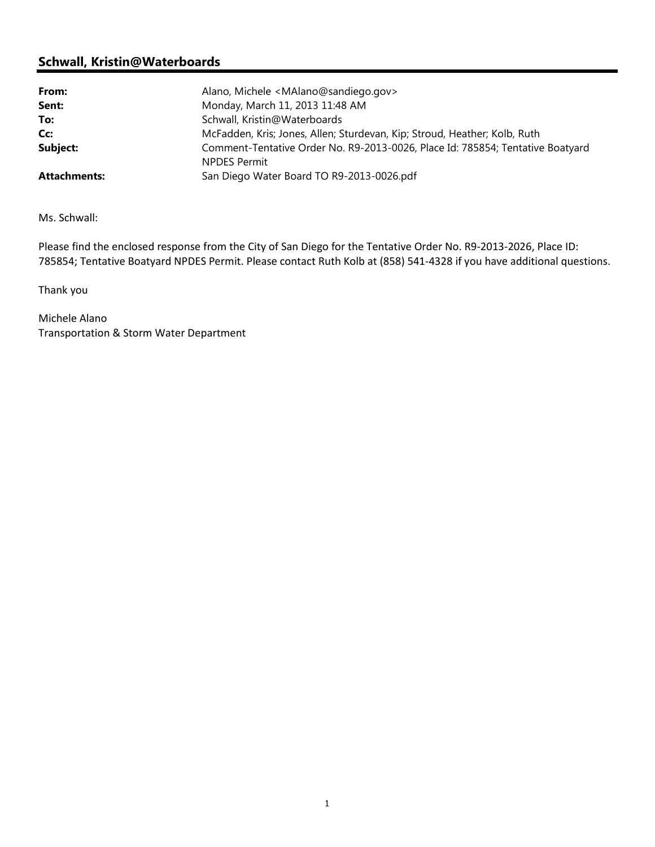## Schwall, Kristin@Waterboards

| From:               | Alano, Michele <malano@sandiego.gov></malano@sandiego.gov>                                            |
|---------------------|-------------------------------------------------------------------------------------------------------|
| Sent:               | Monday, March 11, 2013 11:48 AM                                                                       |
| To:                 | Schwall, Kristin@Waterboards                                                                          |
| Cc:                 | McFadden, Kris; Jones, Allen; Sturdevan, Kip; Stroud, Heather; Kolb, Ruth                             |
| Subject:            | Comment-Tentative Order No. R9-2013-0026, Place Id: 785854; Tentative Boatyard<br><b>NPDES Permit</b> |
| <b>Attachments:</b> | San Diego Water Board TO R9-2013-0026.pdf                                                             |

Ms. Schwall:

Please find the enclosed response from the City of San Diego for the Tentative Order No. R9-2013-2026, Place ID: 785854; Tentative Boatyard NPDES Permit. Please contact Ruth Kolb at (858) 541-4328 if you have additional questions.

Thank you

Michele Alano Transportation & Storm Water Department